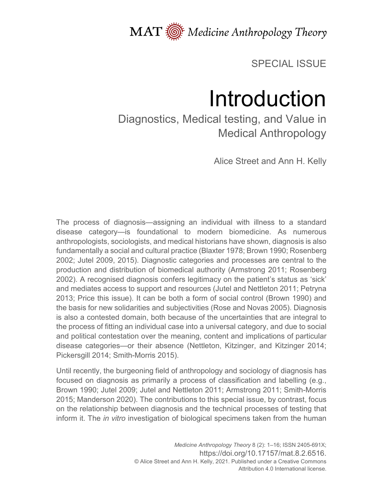

SPECIAL ISSUE

# Introduction

Diagnostics, Medical testing, and Value in Medical Anthropology

Alice Street and Ann H. Kelly

The process of diagnosis—assigning an individual with illness to a standard disease category—is foundational to modern biomedicine. As numerous anthropologists, sociologists, and medical historians have shown, diagnosis is also fundamentally a social and cultural practice (Blaxter 1978; Brown 1990; Rosenberg 2002; Jutel 2009, 2015). Diagnostic categories and processes are central to the production and distribution of biomedical authority (Armstrong 2011; Rosenberg 2002). A recognised diagnosis confers legitimacy on the patient's status as 'sick' and mediates access to support and resources (Jutel and Nettleton 2011; Petryna 2013; Price this issue). It can be both a form of social control (Brown 1990) and the basis for new solidarities and subjectivities (Rose and Novas 2005). Diagnosis is also a contested domain, both because of the uncertainties that are integral to the process of fitting an individual case into a universal category, and due to social and political contestation over the meaning, content and implications of particular disease categories—or their absence (Nettleton, Kitzinger, and Kitzinger 2014; Pickersgill 2014; Smith-Morris 2015).

Until recently, the burgeoning field of anthropology and sociology of diagnosis has focused on diagnosis as primarily a process of classification and labelling (e.g., Brown 1990; Jutel 2009; Jutel and Nettleton 2011; Armstrong 2011; Smith-Morris 2015; Manderson 2020). The contributions to this special issue, by contrast, focus on the relationship between diagnosis and the technical processes of testing that inform it. The *in vitro* investigation of biological specimens taken from the human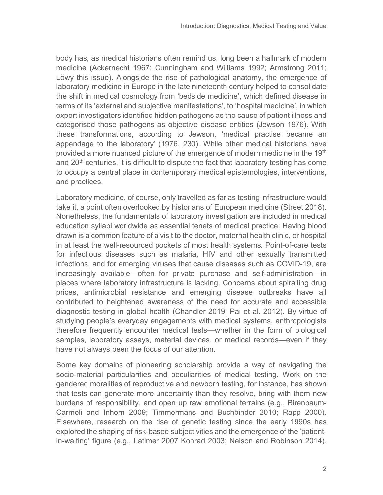body has, as medical historians often remind us, long been a hallmark of modern medicine (Ackernecht 1967; Cunningham and Williams 1992; Armstrong 2011; Löwy this issue). Alongside the rise of pathological anatomy, the emergence of laboratory medicine in Europe in the late nineteenth century helped to consolidate the shift in medical cosmology from 'bedside medicine', which defined disease in terms of its 'external and subjective manifestations', to 'hospital medicine', in which expert investigators identified hidden pathogens as the cause of patient illness and categorised those pathogens as objective disease entities (Jewson 1976). With these transformations, according to Jewson, 'medical practise became an appendage to the laboratory' (1976, 230). While other medical historians have provided a more nuanced picture of the emergence of modern medicine in the 19<sup>th</sup> and 20<sup>th</sup> centuries, it is difficult to dispute the fact that laboratory testing has come to occupy a central place in contemporary medical epistemologies, interventions, and practices.

Laboratory medicine, of course, only travelled as far as testing infrastructure would take it, a point often overlooked by historians of European medicine (Street 2018). Nonetheless, the fundamentals of laboratory investigation are included in medical education syllabi worldwide as essential tenets of medical practice. Having blood drawn is a common feature of a visit to the doctor, maternal health clinic, or hospital in at least the well-resourced pockets of most health systems. Point-of-care tests for infectious diseases such as malaria, HIV and other sexually transmitted infections, and for emerging viruses that cause diseases such as COVID-19, are increasingly available—often for private purchase and self-administration—in places where laboratory infrastructure is lacking. Concerns about spiralling drug prices, antimicrobial resistance and emerging disease outbreaks have all contributed to heightened awareness of the need for accurate and accessible diagnostic testing in global health (Chandler 2019; Pai et al. 2012). By virtue of studying people's everyday engagements with medical systems, anthropologists therefore frequently encounter medical tests—whether in the form of biological samples, laboratory assays, material devices, or medical records—even if they have not always been the focus of our attention.

Some key domains of pioneering scholarship provide a way of navigating the socio-material particularities and peculiarities of medical testing. Work on the gendered moralities of reproductive and newborn testing, for instance, has shown that tests can generate more uncertainty than they resolve, bring with them new burdens of responsibility, and open up raw emotional terrains (e.g., Birenbaum-Carmeli and Inhorn 2009; Timmermans and Buchbinder 2010; Rapp 2000). Elsewhere, research on the rise of genetic testing since the early 1990s has explored the shaping of risk-based subjectivities and the emergence of the 'patientin-waiting' figure (e.g., Latimer 2007 Konrad 2003; Nelson and Robinson 2014).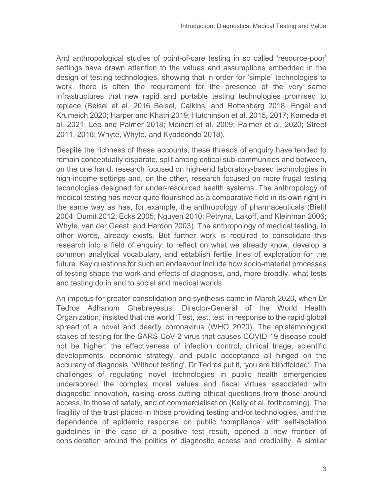And anthropological studies of point-of-care testing in so called 'resource-poor' settings have drawn attention to the values and assumptions embedded in the design of testing technologies, showing that in order for 'simple' technologies to work, there is often the requirement for the presence of the very same infrastructures that new rapid and portable testing technologies promised to replace (Beisel et al. 2016 Beisel, Calkins, and Rottenberg 2018; Engel and Krumeich 2020; Harper and Khatri 2019; Hutchinson et al. 2015, 2017; Kameda et al. 2021; Lee and Palmer 2018; Meinert et al. 2009; Palmer et al. 2020; Street 2011, 2018; Whyte, Whyte, and Kyaddondo 2018).

Despite the richness of these accounts, these threads of enquiry have tended to remain conceptually disparate, split among critical sub-communities and between, on the one hand, research focused on high-end laboratory-based technologies in high-income settings and, on the other, research focused on more frugal testing technologies designed for under-resourced health systems. The anthropology of medical testing has never quite flourished as a comparative field in its own right in the same way as has, for example, the anthropology of pharmaceuticals (Biehl 2004; Dumit 2012; Ecks 2005; Nguyen 2010; Petryna, Lakoff, and Kleinman 2006; Whyte, van der Geest, and Hardon 2003). The anthropology of medical testing, in other words, already exists. But further work is required to consolidate this research into a field of enquiry: to reflect on what we already know, develop a common analytical vocabulary, and establish fertile lines of exploration for the future. Key questions for such an endeavour include how socio-material processes of testing shape the work and effects of diagnosis, and, more broadly, what tests and testing do in and to social and medical worlds.

An impetus for greater consolidation and synthesis came in March 2020, when Dr Tedros Adhanom Ghebreyesus, Director-General of the World Health Organization, insisted that the world 'Test, test, test' in response to the rapid global spread of a novel and deadly coronavirus (WHO 2020). The epistemological stakes of testing for the SARS-CoV-2 virus that causes COVID-19 disease could not be higher: the effectiveness of infection control, clinical triage, scientific developments, economic strategy, and public acceptance all hinged on the accuracy of diagnosis. 'Without testing', Dr Tedros put it, 'you are blindfolded'. The challenges of regulating novel technologies in public health emergencies underscored the complex moral values and fiscal virtues associated with diagnostic innovation, raising cross-cutting ethical questions from those around access, to those of safety, and of commercialisation (Kelly et al. forthcoming). The fragility of the trust placed in those providing testing and/or technologies, and the dependence of epidemic response on public 'compliance' with self-isolation guidelines in the case of a positive test result, opened a new frontier of consideration around the politics of diagnostic access and credibility. A similar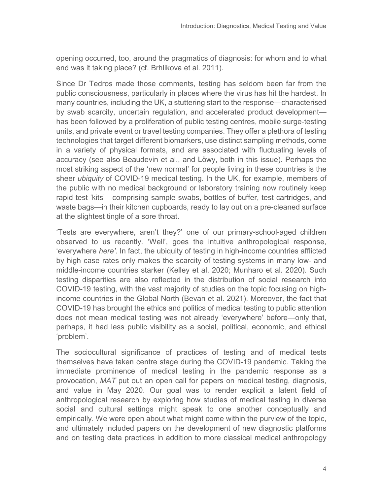opening occurred, too, around the pragmatics of diagnosis: for whom and to what end was it taking place? (cf. Brhlikova et al. 2011).

Since Dr Tedros made those comments, testing has seldom been far from the public consciousness, particularly in places where the virus has hit the hardest. In many countries, including the UK, a stuttering start to the response—characterised by swab scarcity, uncertain regulation, and accelerated product development has been followed by a proliferation of public testing centres, mobile surge-testing units, and private event or travel testing companies. They offer a plethora of testing technologies that target different biomarkers, use distinct sampling methods, come in a variety of physical formats, and are associated with fluctuating levels of accuracy (see also Beaudevin et al., and Löwy, both in this issue). Perhaps the most striking aspect of the 'new normal' for people living in these countries is the sheer *ubiquity* of COVID-19 medical testing. In the UK, for example, members of the public with no medical background or laboratory training now routinely keep rapid test 'kits'—comprising sample swabs, bottles of buffer, test cartridges, and waste bags—in their kitchen cupboards, ready to lay out on a pre-cleaned surface at the slightest tingle of a sore throat.

'Tests are everywhere, aren't they?' one of our primary-school-aged children observed to us recently. 'Well', goes the intuitive anthropological response, 'everywhere *here'*. In fact, the ubiquity of testing in high-income countries afflicted by high case rates only makes the scarcity of testing systems in many low- and middle-income countries starker (Kelley et al. 2020; Munharo et al. 2020). Such testing disparities are also reflected in the distribution of social research into COVID-19 testing, with the vast majority of studies on the topic focusing on highincome countries in the Global North (Bevan et al. 2021). Moreover, the fact that COVID-19 has brought the ethics and politics of medical testing to public attention does not mean medical testing was not already 'everywhere' before—only that, perhaps, it had less public visibility as a social, political, economic, and ethical 'problem'.

The sociocultural significance of practices of testing and of medical tests themselves have taken centre stage during the COVID-19 pandemic. Taking the immediate prominence of medical testing in the pandemic response as a provocation, *MAT* put out an open call for papers on medical testing, diagnosis, and value in May 2020. Our goal was to render explicit a latent field of anthropological research by exploring how studies of medical testing in diverse social and cultural settings might speak to one another conceptually and empirically. We were open about what might come within the purview of the topic, and ultimately included papers on the development of new diagnostic platforms and on testing data practices in addition to more classical medical anthropology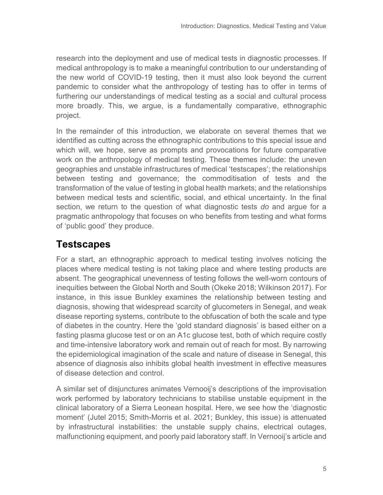research into the deployment and use of medical tests in diagnostic processes. If medical anthropology is to make a meaningful contribution to our understanding of the new world of COVID-19 testing, then it must also look beyond the current pandemic to consider what the anthropology of testing has to offer in terms of furthering our understandings of medical testing as a social and cultural process more broadly. This, we argue, is a fundamentally comparative, ethnographic project.

In the remainder of this introduction, we elaborate on several themes that we identified as cutting across the ethnographic contributions to this special issue and which will, we hope, serve as prompts and provocations for future comparative work on the anthropology of medical testing. These themes include: the uneven geographies and unstable infrastructures of medical 'testscapes'; the relationships between testing and governance; the commoditisation of tests and the transformation of the value of testing in global health markets; and the relationships between medical tests and scientific, social, and ethical uncertainty. In the final section, we return to the question of what diagnostic tests *do* and argue for a pragmatic anthropology that focuses on who benefits from testing and what forms of 'public good' they produce.

#### **Testscapes**

For a start, an ethnographic approach to medical testing involves noticing the places where medical testing is not taking place and where testing products are absent. The geographical unevenness of testing follows the well-worn contours of inequities between the Global North and South (Okeke 2018; Wilkinson 2017). For instance, in this issue Bunkley examines the relationship between testing and diagnosis, showing that widespread scarcity of glucometers in Senegal, and weak disease reporting systems, contribute to the obfuscation of both the scale and type of diabetes in the country. Here the 'gold standard diagnosis' is based either on a fasting plasma glucose test or on an A1c glucose test, both of which require costly and time-intensive laboratory work and remain out of reach for most. By narrowing the epidemiological imagination of the scale and nature of disease in Senegal, this absence of diagnosis also inhibits global health investment in effective measures of disease detection and control.

A similar set of disjunctures animates Vernooij's descriptions of the improvisation work performed by laboratory technicians to stabilise unstable equipment in the clinical laboratory of a Sierra Leonean hospital. Here, we see how the 'diagnostic moment' (Jutel 2015; Smith-Morris et al. 2021; Bunkley, this issue) is attenuated by infrastructural instabilities: the unstable supply chains, electrical outages, malfunctioning equipment, and poorly paid laboratory staff. In Vernooij's article and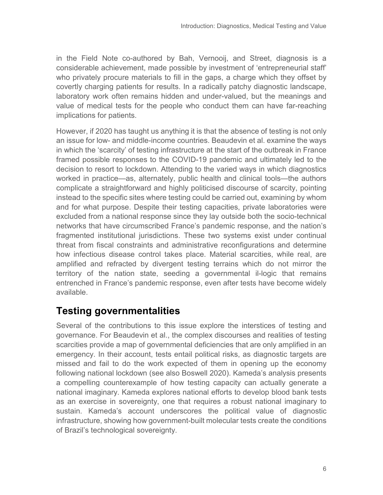in the Field Note co-authored by Bah, Vernooij, and Street, diagnosis is a considerable achievement, made possible by investment of 'entrepreneurial staff' who privately procure materials to fill in the gaps, a charge which they offset by covertly charging patients for results. In a radically patchy diagnostic landscape, laboratory work often remains hidden and under-valued, but the meanings and value of medical tests for the people who conduct them can have far-reaching implications for patients.

However, if 2020 has taught us anything it is that the absence of testing is not only an issue for low- and middle-income countries. Beaudevin et al. examine the ways in which the 'scarcity' of testing infrastructure at the start of the outbreak in France framed possible responses to the COVID-19 pandemic and ultimately led to the decision to resort to lockdown. Attending to the varied ways in which diagnostics worked in practice—as, alternately, public health and clinical tools—the authors complicate a straightforward and highly politicised discourse of scarcity, pointing instead to the specific sites where testing could be carried out, examining by whom and for what purpose. Despite their testing capacities, private laboratories were excluded from a national response since they lay outside both the socio-technical networks that have circumscribed France's pandemic response, and the nation's fragmented institutional jurisdictions. These two systems exist under continual threat from fiscal constraints and administrative reconfigurations and determine how infectious disease control takes place. Material scarcities, while real, are amplified and refracted by divergent testing terrains which do not mirror the territory of the nation state, seeding a governmental il-logic that remains entrenched in France's pandemic response, even after tests have become widely available.

#### **Testing governmentalities**

Several of the contributions to this issue explore the interstices of testing and governance. For Beaudevin et al., the complex discourses and realities of testing scarcities provide a map of governmental deficiencies that are only amplified in an emergency. In their account, tests entail political risks, as diagnostic targets are missed and fail to do the work expected of them in opening up the economy following national lockdown (see also Boswell 2020). Kameda's analysis presents a compelling counterexample of how testing capacity can actually generate a national imaginary. Kameda explores national efforts to develop blood bank tests as an exercise in sovereignty, one that requires a robust national imaginary to sustain. Kameda's account underscores the political value of diagnostic infrastructure, showing how government-built molecular tests create the conditions of Brazil's technological sovereignty.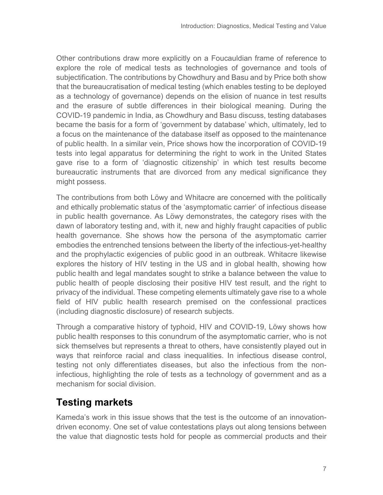Other contributions draw more explicitly on a Foucauldian frame of reference to explore the role of medical tests as technologies of governance and tools of subjectification. The contributions by Chowdhury and Basu and by Price both show that the bureaucratisation of medical testing (which enables testing to be deployed as a technology of governance) depends on the elision of nuance in test results and the erasure of subtle differences in their biological meaning. During the COVID-19 pandemic in India, as Chowdhury and Basu discuss, testing databases became the basis for a form of 'government by database' which, ultimately, led to a focus on the maintenance of the database itself as opposed to the maintenance of public health. In a similar vein, Price shows how the incorporation of COVID-19 tests into legal apparatus for determining the right to work in the United States gave rise to a form of 'diagnostic citizenship' in which test results become bureaucratic instruments that are divorced from any medical significance they might possess.

The contributions from both Löwy and Whitacre are concerned with the politically and ethically problematic status of the 'asymptomatic carrier' of infectious disease in public health governance. As Löwy demonstrates, the category rises with the dawn of laboratory testing and, with it, new and highly fraught capacities of public health governance. She shows how the persona of the asymptomatic carrier embodies the entrenched tensions between the liberty of the infectious-yet-healthy and the prophylactic exigencies of public good in an outbreak. Whitacre likewise explores the history of HIV testing in the US and in global health, showing how public health and legal mandates sought to strike a balance between the value to public health of people disclosing their positive HIV test result, and the right to privacy of the individual. These competing elements ultimately gave rise to a whole field of HIV public health research premised on the confessional practices (including diagnostic disclosure) of research subjects.

Through a comparative history of typhoid, HIV and COVID-19, Löwy shows how public health responses to this conundrum of the asymptomatic carrier, who is not sick themselves but represents a threat to others, have consistently played out in ways that reinforce racial and class inequalities. In infectious disease control, testing not only differentiates diseases, but also the infectious from the noninfectious, highlighting the role of tests as a technology of government and as a mechanism for social division.

### **Testing markets**

Kameda's work in this issue shows that the test is the outcome of an innovationdriven economy. One set of value contestations plays out along tensions between the value that diagnostic tests hold for people as commercial products and their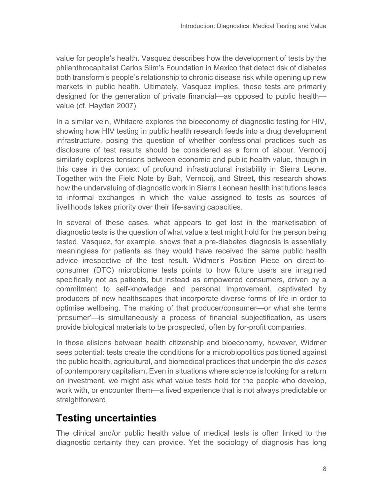value for people's health. Vasquez describes how the development of tests by the philanthrocapitalist Carlos Slim's Foundation in Mexico that detect risk of diabetes both transform's people's relationship to chronic disease risk while opening up new markets in public health. Ultimately, Vasquez implies, these tests are primarily designed for the generation of private financial—as opposed to public health value (cf. Hayden 2007).

In a similar vein, Whitacre explores the bioeconomy of diagnostic testing for HIV, showing how HIV testing in public health research feeds into a drug development infrastructure, posing the question of whether confessional practices such as disclosure of test results should be considered as a form of labour. Vernooij similarly explores tensions between economic and public health value, though in this case in the context of profound infrastructural instability in Sierra Leone. Together with the Field Note by Bah, Vernooij, and Street, this research shows how the undervaluing of diagnostic work in Sierra Leonean health institutions leads to informal exchanges in which the value assigned to tests as sources of livelihoods takes priority over their life-saving capacities.

In several of these cases, what appears to get lost in the marketisation of diagnostic tests is the question of what value a test might hold for the person being tested. Vasquez, for example, shows that a pre-diabetes diagnosis is essentially meaningless for patients as they would have received the same public health advice irrespective of the test result. Widmer's Position Piece on direct-toconsumer (DTC) microbiome tests points to how future users are imagined specifically not as patients, but instead as empowered consumers, driven by a commitment to self-knowledge and personal improvement, captivated by producers of new healthscapes that incorporate diverse forms of life in order to optimise wellbeing. The making of that producer/consumer—or what she terms 'prosumer'—is simultaneously a process of financial subjectification, as users provide biological materials to be prospected, often by for-profit companies.

In those elisions between health citizenship and bioeconomy, however, Widmer sees potential: tests create the conditions for a microbiopolitics positioned against the public health, agricultural, and biomedical practices that underpin the *dis-eases* of contemporary capitalism. Even in situations where science is looking for a return on investment, we might ask what value tests hold for the people who develop, work with, or encounter them—a lived experience that is not always predictable or straightforward.

### **Testing uncertainties**

The clinical and/or public health value of medical tests is often linked to the diagnostic certainty they can provide. Yet the sociology of diagnosis has long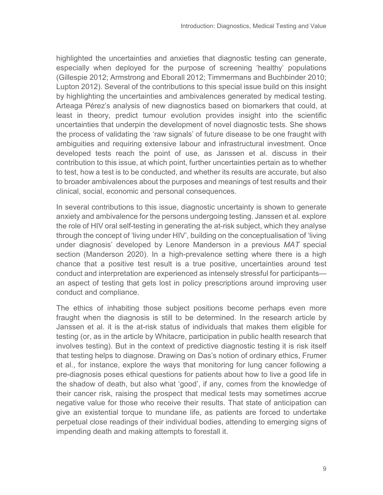highlighted the uncertainties and anxieties that diagnostic testing can generate, especially when deployed for the purpose of screening 'healthy' populations (Gillespie 2012; Armstrong and Eborall 2012; Timmermans and Buchbinder 2010; Lupton 2012). Several of the contributions to this special issue build on this insight by highlighting the uncertainties and ambivalences generated by medical testing. Arteaga Pérez's analysis of new diagnostics based on biomarkers that could, at least in theory, predict tumour evolution provides insight into the scientific uncertainties that underpin the development of novel diagnostic tests. She shows the process of validating the 'raw signals' of future disease to be one fraught with ambiguities and requiring extensive labour and infrastructural investment. Once developed tests reach the point of use, as Janssen et al. discuss in their contribution to this issue, at which point, further uncertainties pertain as to whether to test, how a test is to be conducted, and whether its results are accurate, but also to broader ambivalences about the purposes and meanings of test results and their clinical, social, economic and personal consequences.

In several contributions to this issue, diagnostic uncertainty is shown to generate anxiety and ambivalence for the persons undergoing testing. Janssen et al. explore the role of HIV oral self-testing in generating the at-risk subject, which they analyse through the concept of 'living under HIV', building on the conceptualisation of 'living under diagnosis' developed by Lenore Manderson in a previous *MAT* special section (Manderson 2020). In a high-prevalence setting where there is a high chance that a positive test result is a true positive, uncertainties around test conduct and interpretation are experienced as intensely stressful for participants an aspect of testing that gets lost in policy prescriptions around improving user conduct and compliance.

The ethics of inhabiting those subject positions become perhaps even more fraught when the diagnosis is still to be determined. In the research article by Janssen et al. it is the at-risk status of individuals that makes them eligible for testing (or, as in the article by Whitacre, participation in public health research that involves testing). But in the context of predictive diagnostic testing it is risk itself that testing helps to diagnose. Drawing on Das's notion of ordinary ethics, Frumer et al., for instance, explore the ways that monitoring for lung cancer following a pre-diagnosis poses ethical questions for patients about how to live a good life in the shadow of death, but also what 'good', if any, comes from the knowledge of their cancer risk, raising the prospect that medical tests may sometimes accrue negative value for those who receive their results. That state of anticipation can give an existential torque to mundane life, as patients are forced to undertake perpetual close readings of their individual bodies, attending to emerging signs of impending death and making attempts to forestall it.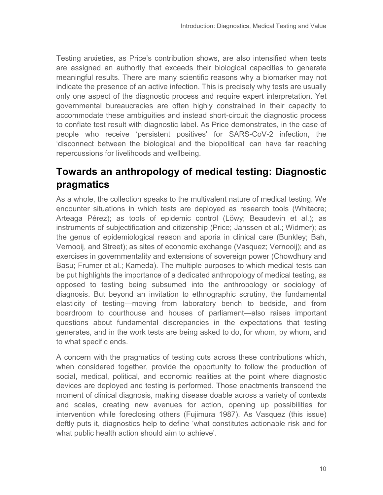Testing anxieties, as Price's contribution shows, are also intensified when tests are assigned an authority that exceeds their biological capacities to generate meaningful results. There are many scientific reasons why a biomarker may not indicate the presence of an active infection. This is precisely why tests are usually only one aspect of the diagnostic process and require expert interpretation. Yet governmental bureaucracies are often highly constrained in their capacity to accommodate these ambiguities and instead short-circuit the diagnostic process to conflate test result with diagnostic label. As Price demonstrates, in the case of people who receive 'persistent positives' for SARS-CoV-2 infection, the 'disconnect between the biological and the biopolitical' can have far reaching repercussions for livelihoods and wellbeing.

### **Towards an anthropology of medical testing: Diagnostic pragmatics**

As a whole, the collection speaks to the multivalent nature of medical testing. We encounter situations in which tests are deployed as research tools (Whitacre; Arteaga Pérez); as tools of epidemic control (Löwy; Beaudevin et al.); as instruments of subjectification and citizenship (Price; Janssen et al.; Widmer); as the genus of epidemiological reason and aporia in clinical care (Bunkley; Bah, Vernooij, and Street); as sites of economic exchange (Vasquez; Vernooij); and as exercises in governmentality and extensions of sovereign power (Chowdhury and Basu; Frumer et al.; Kameda). The multiple purposes to which medical tests can be put highlights the importance of a dedicated anthropology of medical testing, as opposed to testing being subsumed into the anthropology or sociology of diagnosis. But beyond an invitation to ethnographic scrutiny, the fundamental elasticity of testing—moving from laboratory bench to bedside, and from boardroom to courthouse and houses of parliament—also raises important questions about fundamental discrepancies in the expectations that testing generates, and in the work tests are being asked to do, for whom, by whom, and to what specific ends.

A concern with the pragmatics of testing cuts across these contributions which, when considered together, provide the opportunity to follow the production of social, medical, political, and economic realities at the point where diagnostic devices are deployed and testing is performed. Those enactments transcend the moment of clinical diagnosis, making disease doable across a variety of contexts and scales, creating new avenues for action, opening up possibilities for intervention while foreclosing others (Fujimura 1987). As Vasquez (this issue) deftly puts it, diagnostics help to define 'what constitutes actionable risk and for what public health action should aim to achieve'.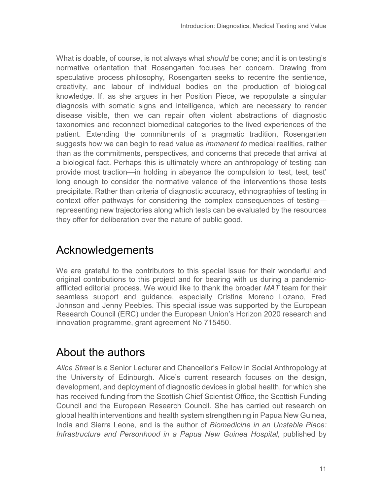What is doable, of course, is not always what *should* be done; and it is on testing's normative orientation that Rosengarten focuses her concern. Drawing from speculative process philosophy, Rosengarten seeks to recentre the sentience, creativity, and labour of individual bodies on the production of biological knowledge. If, as she argues in her Position Piece, we repopulate a singular diagnosis with somatic signs and intelligence, which are necessary to render disease visible, then we can repair often violent abstractions of diagnostic taxonomies and reconnect biomedical categories to the lived experiences of the patient. Extending the commitments of a pragmatic tradition, Rosengarten suggests how we can begin to read value as *immanent to* medical realities, rather than as the commitments, perspectives, and concerns that precede that arrival at a biological fact. Perhaps this is ultimately where an anthropology of testing can provide most traction—in holding in abeyance the compulsion to 'test, test, test' long enough to consider the normative valence of the interventions those tests precipitate. Rather than criteria of diagnostic accuracy, ethnographies of testing in context offer pathways for considering the complex consequences of testing representing new trajectories along which tests can be evaluated by the resources they offer for deliberation over the nature of public good.

# Acknowledgements

We are grateful to the contributors to this special issue for their wonderful and original contributions to this project and for bearing with us during a pandemicafflicted editorial process. We would like to thank the broader *MAT* team for their seamless support and guidance, especially Cristina Moreno Lozano, Fred Johnson and Jenny Peebles. This special issue was supported by the European Research Council (ERC) under the European Union's Horizon 2020 research and innovation programme, grant agreement No 715450.

# About the authors

*Alice Street* is a Senior Lecturer and Chancellor's Fellow in Social Anthropology at the University of Edinburgh. Alice's current research focuses on the design, development, and deployment of diagnostic devices in global health, for which she has received funding from the Scottish Chief Scientist Office, the Scottish Funding Council and the European Research Council. She has carried out research on global health interventions and health system strengthening in Papua New Guinea, India and Sierra Leone, and is the author of *Biomedicine in an Unstable Place: Infrastructure and Personhood in a Papua New Guinea Hospital,* published by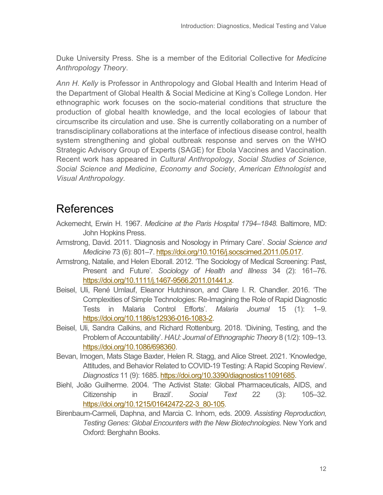Duke University Press. She is a member of the Editorial Collective for *Medicine Anthropology Theory*.

*Ann H. Kelly* is Professor in Anthropology and Global Health and Interim Head of the Department of Global Health & Social Medicine at King's College London. Her ethnographic work focuses on the socio-material conditions that structure the production of global health knowledge, and the local ecologies of labour that circumscribe its circulation and use. She is currently collaborating on a number of transdisciplinary collaborations at the interface of infectious disease control, health system strengthening and global outbreak response and serves on the WHO Strategic Advisory Group of Experts (SAGE) for Ebola Vaccines and Vaccination. Recent work has appeared in *Cultural Anthropology*, *Social Studies of Science*, *Social Science and Medicine*, *Economy and Society*, *American Ethnologist* and *Visual Anthropology*.

## References

- Ackernecht, Erwin H. 1967. *Medicine at the Paris Hospital 1794–1848.* Baltimore, MD: John Hopkins Press.
- Armstrong, David. 2011. 'Diagnosis and Nosology in Primary Care'. *Social Science and Medicine* 73 (6): 801–7. [https://doi.org/10.1016/j.socscimed.2011.05.017.](https://doi.org/10.1016/j.socscimed.2011.05.017)
- Armstrong, Natalie, and Helen Eborall. 2012. 'The Sociology of Medical Screening: Past, Present and Future'. *Sociology of Health and Illness* 34 (2): 161–76. [https://doi.org/10.1111/j.1467-9566.2011.01441.x.](https://doi.org/10.1111/j.1467-9566.2011.01441.x)
- Beisel, Uli, René Umlauf, Eleanor Hutchinson, and Clare I. R. Chandler. 2016. 'The Complexities of Simple Technologies: Re-Imagining the Role of Rapid Diagnostic Tests in Malaria Control Efforts'. *Malaria Journal* 15 (1): 1–9. [https://doi.org/10.1186/s12936-016-1083-2.](https://doi.org/10.1186/s12936-016-1083-2)
- Beisel, Uli, Sandra Calkins, and Richard Rottenburg. 2018. 'Divining, Testing, and the Problem of Accountability'. *HAU: Journal of Ethnographic Theory* 8 (1/2): 109–13. [https://doi.org/10.1086/698360.](https://doi.org/10.1086/698360)
- Bevan, Imogen, Mats Stage Baxter, Helen R. Stagg, and Alice Street. 2021. 'Knowledge, Attitudes, and Behavior Related to COVID-19 Testing: A Rapid Scoping Review'. *Diagnostics* 11 (9): 1685[. https://doi.org/10.3390/diagnostics11091685.](https://doi.org/10.3390/diagnostics11091685)
- Biehl, João Guilherme. 2004. 'The Activist State: Global Pharmaceuticals, AIDS, and Citizenship in Brazil'. *Social Text* 22 (3): 105–32. [https://doi.org/10.1215/01642472-22-3\\_80-105.](https://doi.org/10.1215/01642472-22-3_80-105)
- Birenbaum-Carmeli, Daphna, and Marcia C. Inhorn, eds. 2009. *Assisting Reproduction, Testing Genes: Global Encounters with the New Biotechnologies*. New York and Oxford: Berghahn Books.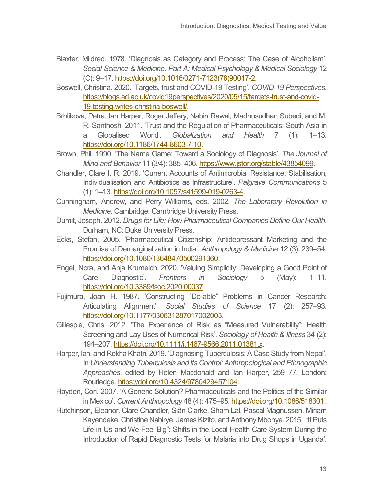- Blaxter, Mildred. 1978. 'Diagnosis as Category and Process: The Case of Alcoholism'. *Social Science & Medicine. Part A: Medical Psychology & Medical Sociology* 12 (C): 9–17[. https://doi.org/10.1016/0271-7123\(78\)90017-2.](https://doi.org/10.1016/0271-7123(78)90017-2)
- Boswell, Christina. 2020. 'Targets, trust and COVID-19 Testing'. *COVID-19 Perspectives*. [https://blogs.ed.ac.uk/covid19perspectives/2020/05/15/targets-trust-and-covid-](https://blogs.ed.ac.uk/covid19perspectives/2020/05/15/targets-trust-and-covid-19-testing-writes-christina-boswell/)[19-testing-writes-christina-boswell/.](https://blogs.ed.ac.uk/covid19perspectives/2020/05/15/targets-trust-and-covid-19-testing-writes-christina-boswell/)
- Brhlikova, Petra, Ian Harper, Roger Jeffery, Nabin Rawal, Madhusudhan Subedi, and M. R. Santhosh. 2011. 'Trust and the Regulation of Pharmaceuticals: South Asia in a Globalised World'. *Globalization and Health* 7 (1): 1–13. [https://doi.org/10.1186/1744-8603-7-10.](https://doi.org/10.1186/1744-8603-7-10)
- Brown, Phil. 1990. 'The Name Game: Toward a Sociology of Diagnosis'. *The Journal of Mind and Behavior* 11 (3/4): 385–406. [https://www.jstor.org/stable/43854099.](https://www.jstor.org/stable/43854099)
- Chandler, Clare I. R. 2019. 'Current Accounts of Antimicrobial Resistance: Stabilisation, Individualisation and Antibiotics as Infrastructure'. *Palgrave Communications* 5 (1): 1–13[. https://doi.org/10.1057/s41599-019-0263-4.](https://doi.org/10.1057/s41599-019-0263-4)
- Cunningham, Andrew, and Perry Williams, eds. 2002. *The Laboratory Revolution in Medicine.* Cambridge: Cambridge University Press.
- Dumit, Joseph. 2012. *Drugs for Life: How Pharmaceutical Companies Define Our Health*. Durham, NC: Duke University Press.
- Ecks, Stefan. 2005. 'Pharmaceutical Citizenship: Antidepressant Marketing and the Promise of Demarginalization in India'. *Anthropology & Medicine* 12 (3): 239–54. [https://doi.org/10.1080/13648470500291360.](https://doi.org/10.1080/13648470500291360)
- Engel, Nora, and Anja Krumeich. 2020. 'Valuing Simplicity: Developing a Good Point of Care Diagnostic'. *Frontiers in Sociology* 5 (May): 1–11. [https://doi.org/10.3389/fsoc.2020.00037.](https://doi.org/10.3389/fsoc.2020.00037)
- Fujimura, Joan H. 1987. 'Constructing "Do-able" Problems in Cancer Research: Articulating Alignment'. *Social Studies of Science* 17 (2): 257–93. [https://doi.org/10.1177/030631287017002003.](https://doi.org/10.1177%2F030631287017002003)
- Gillespie, Chris. 2012. 'The Experience of Risk as "Measured Vulnerability": Health Screening and Lay Uses of Numerical Risk'. *Sociology of Health & Illness* 34 (2): 194–207[. https://doi.org/10.1111/j.1467-9566.2011.01381.x.](https://doi.org/10.1111/j.1467-9566.2011.01381.x)
- Harper, Ian, and Rekha Khatri. 2019. 'Diagnosing Tuberculosis: A Case Study from Nepal'. In *Understanding Tuberculosis and Its Control: Anthropological and Ethnographic Approaches*, edited by Helen Macdonald and Ian Harper, 259–77. London: Routledge[. https://doi.org/10.4324/9780429457104.](https://doi.org/10.4324/9780429457104)
- Hayden, Cori. 2007. 'A Generic Solution? Pharmaceuticals and the Politics of the Similar in Mexico'. *Current Anthropology* 48 (4): 475–95[. https://doi.org/10.1086/518301.](https://doi.org/10.1086/518301.)
- Hutchinson, Eleanor, Clare Chandler, Siân Clarke, Sham Lal, Pascal Magnussen, Miriam Kayendeke, Christine Nabirye, James Kizito, and Anthony Mbonye. 2015. '"It Puts Life in Us and We Feel Big": Shifts in the Local Health Care System During the Introduction of Rapid Diagnostic Tests for Malaria into Drug Shops in Uganda'.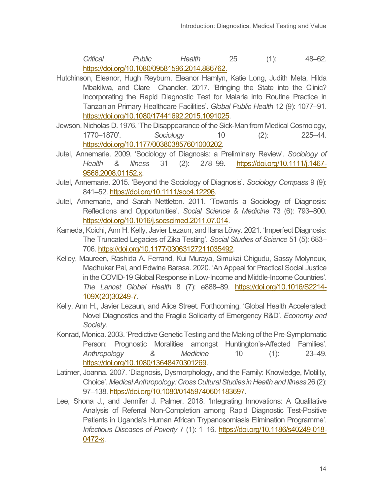*Critical Public Health* 25 (1): 48–62. [https://doi.org/10.1080/09581596.2014.886762.](https://doi.org/10.1080/09581596.2014.886762)

- Hutchinson, Eleanor, Hugh Reyburn, Eleanor Hamlyn, Katie Long, Judith Meta, Hilda Mbakilwa, and Clare Chandler. 2017. 'Bringing the State into the Clinic? Incorporating the Rapid Diagnostic Test for Malaria into Routine Practice in Tanzanian Primary Healthcare Facilities'. *Global Public Health* 12 (9): 1077–91. [https://doi.org/10.1080/17441692.2015.1091025.](https://doi.org/10.1080/17441692.2015.1091025)
- Jewson, Nicholas D. 1976. 'The Disappearance of the Sick-Man from Medical Cosmology, 1770–1870'. *Sociology* 10 (2): 225–44. [https://doi.org/10.1177/003803857601000202.](https://doi.org/10.1177%2F003803857601000202)
- Jutel, Annemarie. 2009. 'Sociology of Diagnosis: a Preliminary Review'. *Sociology of Health & Illness* 31 (2): 278–99. [https://doi.org/10.1111/j.1467-](https://doi.org/10.1111/j.1467-9566.2008.01152.x) [9566.2008.01152.x.](https://doi.org/10.1111/j.1467-9566.2008.01152.x)
- Jutel, Annemarie. 2015. 'Beyond the Sociology of Diagnosis'. *Sociology Compass* 9 (9): 841–52[. https://doi.org/10.1111/soc4.12296.](https://doi.org/10.1111/soc4.12296)
- Jutel, Annemarie, and Sarah Nettleton. 2011. 'Towards a Sociology of Diagnosis: Reflections and Opportunities'. *Social Science & Medicine* 73 (6): 793–800. [https://doi.org/10.1016/j.socscimed.2011.07.014.](https://doi.org/10.1016/j.socscimed.2011.07.014)
- Kameda, Koichi, Ann H. Kelly, Javier Lezaun, and Ilana Löwy. 2021. 'Imperfect Diagnosis: The Truncated Legacies of Zika Testing'. *Social Studies of Science* 51 (5): 683– 706[. https://doi.org/10.1177/03063127211035492.](https://doi.org/10.1177/03063127211035492)
- Kelley, Maureen, Rashida A. Ferrand, Kui Muraya, Simukai Chigudu, Sassy Molyneux, Madhukar Pai, and Edwine Barasa. 2020. 'An Appeal for Practical Social Justice in the COVID-19 Global Response in Low-Income and Middle-Income Countries'. *The Lancet Global Health* 8 (7): e888–89. [https://doi.org/10.1016/S2214-](https://doi.org/10.1016/S2214-109X(20)30249-7) [109X\(20\)30249-7.](https://doi.org/10.1016/S2214-109X(20)30249-7)
- Kelly, Ann H., Javier Lezaun, and Alice Street. Forthcoming. 'Global Health Accelerated: Novel Diagnostics and the Fragile Solidarity of Emergency R&D'. *Economy and Society*.
- Konrad, Monica. 2003. 'Predictive Genetic Testing and the Making of the Pre-Symptomatic Person: Prognostic Moralities amongst Huntington's-Affected Families'. *Anthropology & Medicine* 10 (1): 23–49. [https://doi.org/10.1080/13648470301269.](https://doi.org/10.1080/13648470301269)
- Latimer, Joanna. 2007. 'Diagnosis, Dysmorphology, and the Family: Knowledge, Motility, Choice'. *Medical Anthropology: Cross Cultural Studies in Health and Illness*26 (2): 97–138[. https://doi.org/10.1080/01459740601183697.](https://doi.org/10.1080/01459740601183697)
- Lee, Shona J., and Jennifer J. Palmer. 2018. 'Integrating Innovations: A Qualitative Analysis of Referral Non-Completion among Rapid Diagnostic Test-Positive Patients in Uganda's Human African Trypanosomiasis Elimination Programme'. *Infectious Diseases of Poverty* 7 (1): 1–16. [https://doi.org/10.1186/s40249-018-](https://doi.org/10.1186/s40249-018-0472-x) [0472-x.](https://doi.org/10.1186/s40249-018-0472-x)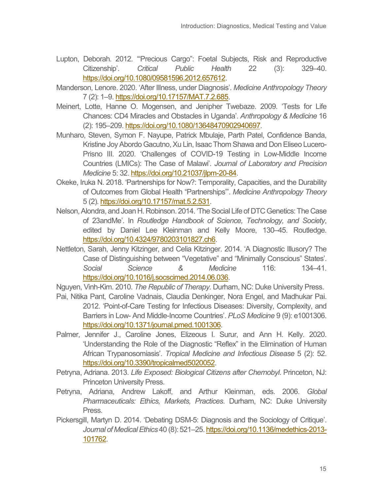- Lupton, Deborah. 2012. '"Precious Cargo": Foetal Subjects, Risk and Reproductive Citizenship'. *Critical Public Health* 22 (3): 329–40. [https://doi.org/10.1080/09581596.2012.657612.](https://doi.org/10.1080/09581596.2012.657612)
- Manderson, Lenore. 2020. 'After Illness, under Diagnosis'. *Medicine Anthropology Theory* 7 (2): 1–9[. https://doi.org/10.17157/MAT.7.2.685.](https://doi.org/10.17157/MAT.7.2.685)
- Meinert, Lotte, Hanne O. Mogensen, and Jenipher Twebaze. 2009. 'Tests for Life Chances: CD4 Miracles and Obstacles in Uganda'. *Anthropology & Medicine* 16 (2): 195–209. [https://doi.org/10.1080/13648470902940697.](https://doi.org/10.1080/13648470902940697)
- Munharo, Steven, Symon F. Nayupe, Patrick Mbulaje, Parth Patel, Confidence Banda, Kristine Joy Abordo Gacutno, Xu Lin, Isaac Thom Shawa and Don Eliseo Lucero-Prisno III. 2020. 'Challenges of COVID-19 Testing in Low-Middle Income Countries (LMICs): The Case of Malawi'. *Journal of Laboratory and Precision Medicine* 5: 32[. https://doi.org/10.21037/jlpm-20-84.](https://doi.org/10.21037/jlpm-20-84)
- Okeke, Iruka N. 2018. 'Partnerships for Now?: Temporality, Capacities, and the Durability of Outcomes from Global Health "Partnerships"'. *Medicine Anthropology Theory* 5 (2)[. https://doi.org/10.17157/mat.5.2.531.](https://doi.org/10.17157/mat.5.2.531)
- Nelson, Alondra, and Joan H. Robinson. 2014. 'The Social Life of DTC Genetics: The Case of 23andMe'. In *Routledge Handbook of Science, Technology, and Society*, edited by Daniel Lee Kleinman and Kelly Moore, 130–45. Routledge. [https://doi.org/10.4324/9780203101827.ch6.](https://doi.org/10.4324/9780203101827.ch6)
- Nettleton, Sarah, Jenny Kitzinger, and Celia Kitzinger. 2014. 'A Diagnostic Illusory? The Case of Distinguishing between "Vegetative" and "Minimally Conscious" States'. *Social Science & Medicine* 116: 134–41. [https://doi.org/10.1016/j.socscimed.2014.06.036.](https://doi.org/10.1016/j.socscimed.2014.06.036)

Nguyen, Vinh-Kim. 2010. *The Republic of Therapy*. Durham, NC: Duke University Press.

- Pai, Nitika Pant, Caroline Vadnais, Claudia Denkinger, Nora Engel, and Madhukar Pai. 2012. 'Point-of-Care Testing for Infectious Diseases: Diversity, Complexity, and Barriers in Low- And Middle-Income Countries'. *PLoS Medicine* 9 (9): e1001306. [https://doi.org/10.1371/journal.pmed.1001306.](https://doi.org/10.1371/journal.pmed.1001306)
- Palmer, Jennifer J., Caroline Jones, Elizeous I. Surur, and Ann H. Kelly. 2020. 'Understanding the Role of the Diagnostic "Reflex" in the Elimination of Human African Trypanosomiasis'. *Tropical Medicine and Infectious Disease* 5 (2): 52. [https://doi.org/10.3390/tropicalmed5020052.](https://doi.org/10.3390/tropicalmed5020052)
- Petryna, Adriana. 2013. *Life Exposed: Biological Citizens after Chernobyl*. Princeton, NJ: Princeton University Press.
- Petryna, Adriana, Andrew Lakoff, and Arthur Kleinman, eds. 2006. *Global Pharmaceuticals: Ethics, Markets, Practices*. Durham, NC: Duke University Press.
- Pickersgill, Martyn D. 2014. 'Debating DSM-5: Diagnosis and the Sociology of Critique'. *Journal of Medical Ethics* 40 (8): 521–25[. https://doi.org/10.1136/medethics-2013-](https://doi.org/10.1136/medethics-2013-101762) [101762.](https://doi.org/10.1136/medethics-2013-101762)